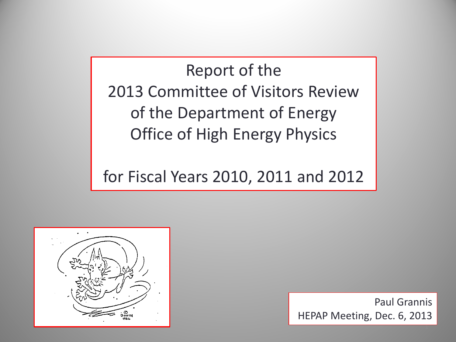Report of the 2013 Committee of Visitors Review of the Department of Energy Office of High Energy Physics

for Fiscal Years 2010, 2011 and 2012



Paul Grannis HEPAP Meeting, Dec. 6, 2013

1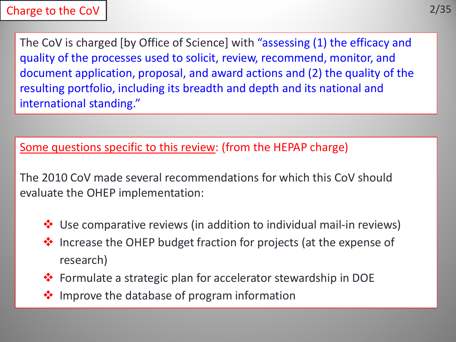The CoV is charged [by Office of Science] with "assessing (1) the efficacy and quality of the processes used to solicit, review, recommend, monitor, and document application, proposal, and award actions and (2) the quality of the resulting portfolio, including its breadth and depth and its national and international standing."

Some questions specific to this review: (from the HEPAP charge)

The 2010 CoV made several recommendations for which this CoV should evaluate the OHEP implementation:

- $\cdot$  Use comparative reviews (in addition to individual mail-in reviews)
- $\lozenge$  Increase the OHEP budget fraction for projects (at the expense of research)
- Formulate a strategic plan for accelerator stewardship in DOE
- **❖** Improve the database of program information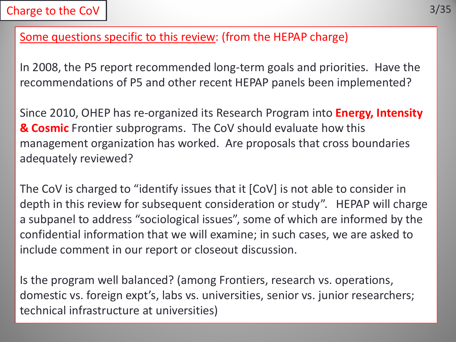# Some questions specific to this review: (from the HEPAP charge)

In 2008, the P5 report recommended long-term goals and priorities. Have the recommendations of P5 and other recent HEPAP panels been implemented?

Since 2010, OHEP has re-organized its Research Program into **Energy, Intensity & Cosmic** Frontier subprograms. The CoV should evaluate how this management organization has worked. Are proposals that cross boundaries adequately reviewed?

The CoV is charged to "identify issues that it [CoV] is not able to consider in depth in this review for subsequent consideration or study". HEPAP will charge a subpanel to address "sociological issues", some of which are informed by the confidential information that we will examine; in such cases, we are asked to include comment in our report or closeout discussion.

Is the program well balanced? (among Frontiers, research vs. operations, domestic vs. foreign expt's, labs vs. universities, senior vs. junior researchers; technical infrastructure at universities)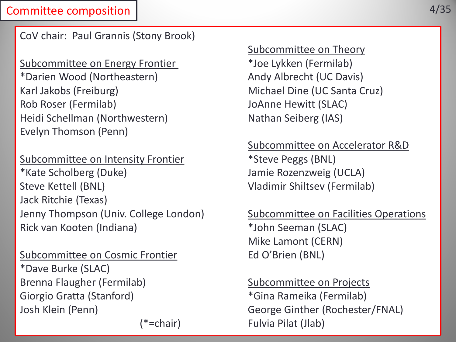### Committee composition

CoV chair: Paul Grannis (Stony Brook)

Subcommittee on Energy Frontier **\*Joe Lykken** (Fermilab) \*Darien Wood (Northeastern) Andy Albrecht (UC Davis) Karl Jakobs (Freiburg) Michael Dine (UC Santa Cruz) Rob Roser (Fermilab) JoAnne Hewitt (SLAC) Heidi Schellman (Northwestern) Nathan Seiberg (IAS) Evelyn Thomson (Penn)

Subcommittee on Intensity Frontier \*Steve Peggs (BNL) \*Kate Scholberg (Duke) Jamie Rozenzweig (UCLA) Steve Kettell (BNL) Vladimir Shiltsev (Fermilab) Jack Ritchie (Texas) Jenny Thompson (Univ. College London) Subcommittee on Facilities Operations Rick van Kooten (Indiana) \*John Seeman (SLAC)

Subcommittee on Cosmic Frontier Ed O'Brien (BNL) \*Dave Burke (SLAC) Brenna Flaugher (Fermilab) Subcommittee on Projects Giorgio Gratta (Stanford)  $*$ Gina Rameika (Fermilab) Josh Klein (Penn) George Ginther (Rochester/FNAL)

Subcommittee on Theory

Subcommittee on Accelerator R&D

Mike Lamont (CERN)

(\*=chair) Fulvia Pilat (Jlab)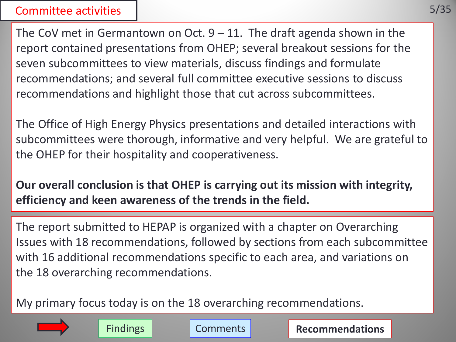### Committee activities

The CoV met in Germantown on Oct.  $9 - 11$ . The draft agenda shown in the report contained presentations from OHEP; several breakout sessions for the seven subcommittees to view materials, discuss findings and formulate recommendations; and several full committee executive sessions to discuss recommendations and highlight those that cut across subcommittees.

The Office of High Energy Physics presentations and detailed interactions with subcommittees were thorough, informative and very helpful. We are grateful to the OHEP for their hospitality and cooperativeness.

**Our overall conclusion is that OHEP is carrying out its mission with integrity, efficiency and keen awareness of the trends in the field.**

The report submitted to HEPAP is organized with a chapter on Overarching Issues with 18 recommendations, followed by sections from each subcommittee with 16 additional recommendations specific to each area, and variations on the 18 overarching recommendations.

Findings **Comments Recommendations** 

My primary focus today is on the 18 overarching recommendations.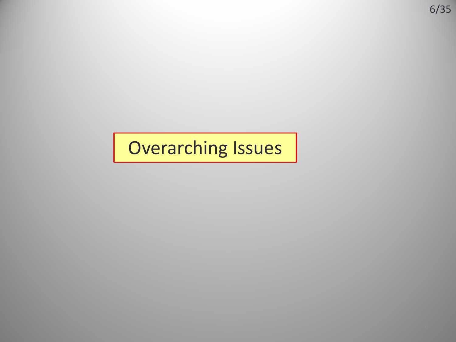# Overarching Issues

6/35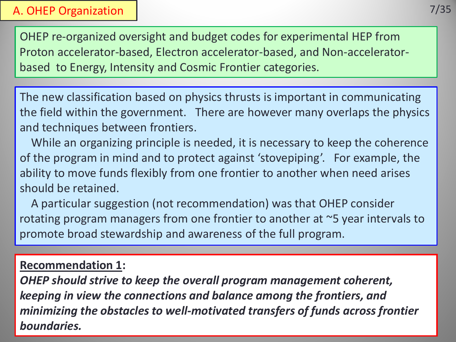### A. OHEP Organization

OHEP re-organized oversight and budget codes for experimental HEP from Proton accelerator-based, Electron accelerator-based, and Non-acceleratorbased to Energy, Intensity and Cosmic Frontier categories.

The new classification based on physics thrusts is important in communicating the field within the government. There are however many overlaps the physics and techniques between frontiers.

 While an organizing principle is needed, it is necessary to keep the coherence of the program in mind and to protect against 'stovepiping'. For example, the ability to move funds flexibly from one frontier to another when need arises should be retained.

 A particular suggestion (not recommendation) was that OHEP consider rotating program managers from one frontier to another at ~5 year intervals to promote broad stewardship and awareness of the full program.

## **Recommendation 1:**

*OHEP should strive to keep the overall program management coherent, keeping in view the connections and balance among the frontiers, and minimizing the obstacles to well-motivated transfers of funds across frontier boundaries.*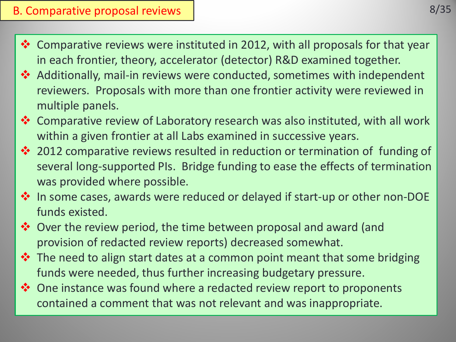## B. Comparative proposal reviews

- Comparative reviews were instituted in 2012, with all proposals for that year in each frontier, theory, accelerator (detector) R&D examined together.
- Additionally, mail-in reviews were conducted, sometimes with independent reviewers. Proposals with more than one frontier activity were reviewed in multiple panels.
- Comparative review of Laboratory research was also instituted, with all work within a given frontier at all Labs examined in successive years.
- ◆ 2012 comparative reviews resulted in reduction or termination of funding of several long-supported PIs. Bridge funding to ease the effects of termination was provided where possible.
- In some cases, awards were reduced or delayed if start-up or other non-DOE funds existed.
- Over the review period, the time between proposal and award (and provision of redacted review reports) decreased somewhat.
- $\triangle$  The need to align start dates at a common point meant that some bridging funds were needed, thus further increasing budgetary pressure.
- $\dots$  One instance was found where a redacted review report to proponents contained a comment that was not relevant and was inappropriate.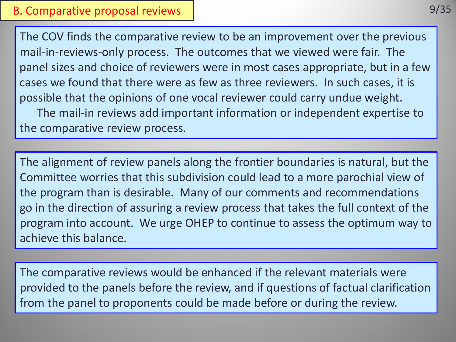The COV finds the comparative review to be an improvement over the previous mail-in-reviews-only process. The outcomes that we viewed were fair. The panel sizes and choice of reviewers were in most cases appropriate, but in a few cases we found that there were as few as three reviewers. In such cases, it is possible that the opinions of one vocal reviewer could carry undue weight.

 The mail-in reviews add important information or independent expertise to the comparative review process.

The alignment of review panels along the frontier boundaries is natural, but the Committee worries that this subdivision could lead to a more parochial view of the program than is desirable. Many of our comments and recommendations go in the direction of assuring a review process that takes the full context of the program into account. We urge OHEP to continue to assess the optimum way to achieve this balance.

The comparative reviews would be enhanced if the relevant materials were provided to the panels before the review, and if questions of factual clarification from the panel to proponents could be made before or during the review.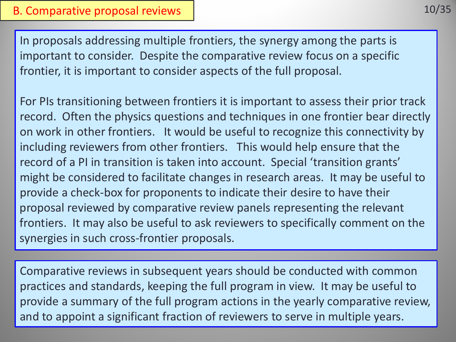10/35

In proposals addressing multiple frontiers, the synergy among the parts is important to consider. Despite the comparative review focus on a specific frontier, it is important to consider aspects of the full proposal.

For PIs transitioning between frontiers it is important to assess their prior track record. Often the physics questions and techniques in one frontier bear directly on work in other frontiers. It would be useful to recognize this connectivity by including reviewers from other frontiers. This would help ensure that the record of a PI in transition is taken into account. Special 'transition grants' might be considered to facilitate changes in research areas. It may be useful to provide a check-box for proponents to indicate their desire to have their proposal reviewed by comparative review panels representing the relevant frontiers. It may also be useful to ask reviewers to specifically comment on the synergies in such cross-frontier proposals.

Comparative reviews in subsequent years should be conducted with common practices and standards, keeping the full program in view. It may be useful to provide a summary of the full program actions in the yearly comparative review, and to appoint a significant fraction of reviewers to serve in multiple years.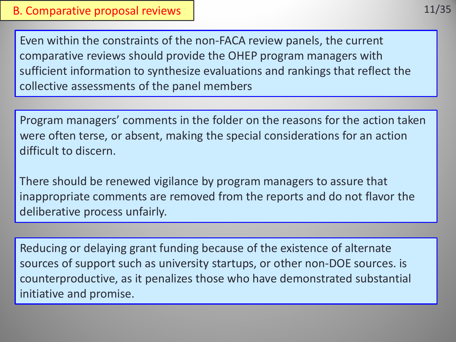Even within the constraints of the non-FACA review panels, the current comparative reviews should provide the OHEP program managers with sufficient information to synthesize evaluations and rankings that reflect the collective assessments of the panel members

Program managers' comments in the folder on the reasons for the action taken were often terse, or absent, making the special considerations for an action difficult to discern.

There should be renewed vigilance by program managers to assure that inappropriate comments are removed from the reports and do not flavor the deliberative process unfairly.

Reducing or delaying grant funding because of the existence of alternate sources of support such as university startups, or other non-DOE sources. is counterproductive, as it penalizes those who have demonstrated substantial initiative and promise.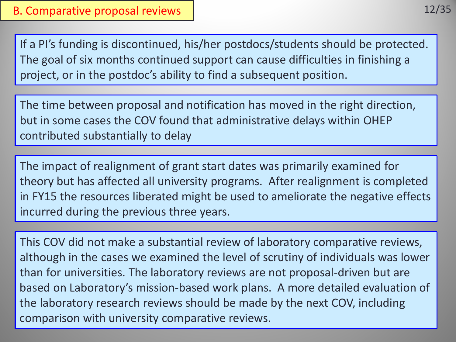If a PI's funding is discontinued, his/her postdocs/students should be protected. The goal of six months continued support can cause difficulties in finishing a project, or in the postdoc's ability to find a subsequent position.

The time between proposal and notification has moved in the right direction, but in some cases the COV found that administrative delays within OHEP contributed substantially to delay

The impact of realignment of grant start dates was primarily examined for theory but has affected all university programs. After realignment is completed in FY15 the resources liberated might be used to ameliorate the negative effects incurred during the previous three years.

This COV did not make a substantial review of laboratory comparative reviews, although in the cases we examined the level of scrutiny of individuals was lower than for universities. The laboratory reviews are not proposal-driven but are based on Laboratory's mission-based work plans. A more detailed evaluation of the laboratory research reviews should be made by the next COV, including comparison with university comparative reviews.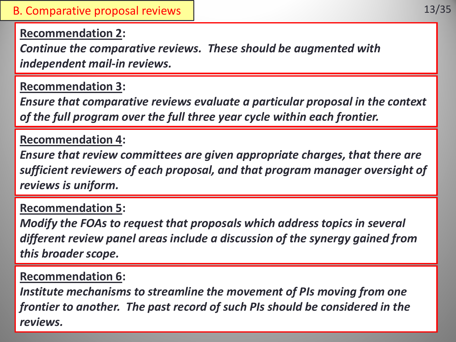**Recommendation 2:**

*Continue the comparative reviews. These should be augmented with independent mail-in reviews.*

**Recommendation 3:**

*Ensure that comparative reviews evaluate a particular proposal in the context of the full program over the full three year cycle within each frontier.* 

## **Recommendation 4:**

*Ensure that review committees are given appropriate charges, that there are sufficient reviewers of each proposal, and that program manager oversight of reviews is uniform.* 

## **Recommendation 5:**

*Modify the FOAs to request that proposals which address topics in several different review panel areas include a discussion of the synergy gained from this broader scope.*

## **Recommendation 6:**

*Institute mechanisms to streamline the movement of PIs moving from one frontier to another. The past record of such PIs should be considered in the reviews.*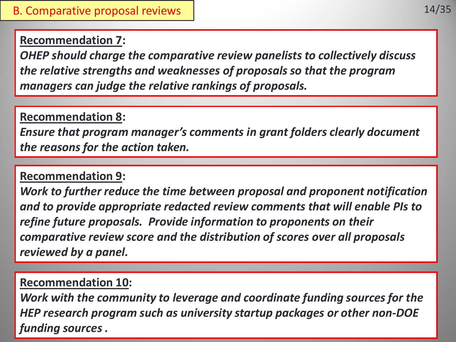## **Recommendation 7:**

*OHEP should charge the comparative review panelists to collectively discuss the relative strengths and weaknesses of proposals so that the program managers can judge the relative rankings of proposals.*

## **Recommendation 8:**

*Ensure that program manager's comments in grant folders clearly document the reasons for the action taken.*

# **Recommendation 9:**

*Work to further reduce the time between proposal and proponent notification and to provide appropriate redacted review comments that will enable PIs to refine future proposals. Provide information to proponents on their comparative review score and the distribution of scores over all proposals reviewed by a panel.*

# **Recommendation 10:**

*Work with the community to leverage and coordinate funding sources for the HEP research program such as university startup packages or other non-DOE funding sources .*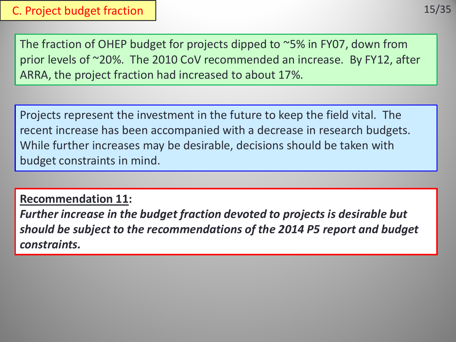The fraction of OHEP budget for projects dipped to ~5% in FY07, down from prior levels of ~20%. The 2010 CoV recommended an increase. By FY12, after ARRA, the project fraction had increased to about 17%.

Projects represent the investment in the future to keep the field vital. The recent increase has been accompanied with a decrease in research budgets. While further increases may be desirable, decisions should be taken with budget constraints in mind.

**Recommendation 11:** *Further increase in the budget fraction devoted to projects is desirable but should be subject to the recommendations of the 2014 P5 report and budget constraints.*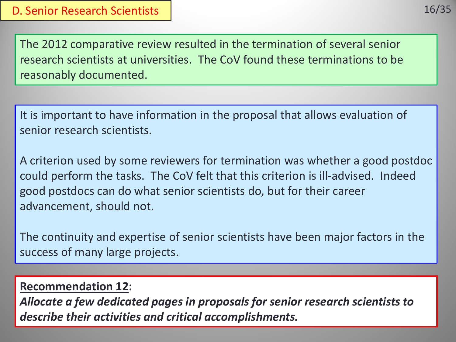The 2012 comparative review resulted in the termination of several senior research scientists at universities. The CoV found these terminations to be reasonably documented.

It is important to have information in the proposal that allows evaluation of senior research scientists.

A criterion used by some reviewers for termination was whether a good postdoc could perform the tasks. The CoV felt that this criterion is ill-advised. Indeed good postdocs can do what senior scientists do, but for their career advancement, should not.

The continuity and expertise of senior scientists have been major factors in the success of many large projects.

## **Recommendation 12:**

*Allocate a few dedicated pages in proposals for senior research scientists to describe their activities and critical accomplishments.*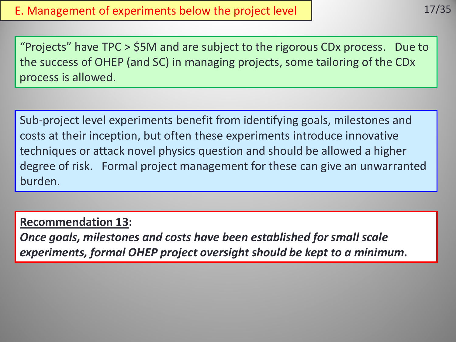"Projects" have TPC > \$5M and are subject to the rigorous CDx process. Due to the success of OHEP (and SC) in managing projects, some tailoring of the CDx process is allowed.

Sub-project level experiments benefit from identifying goals, milestones and costs at their inception, but often these experiments introduce innovative techniques or attack novel physics question and should be allowed a higher degree of risk. Formal project management for these can give an unwarranted burden.

**Recommendation 13:**

*Once goals, milestones and costs have been established for small scale experiments, formal OHEP project oversight should be kept to a minimum.*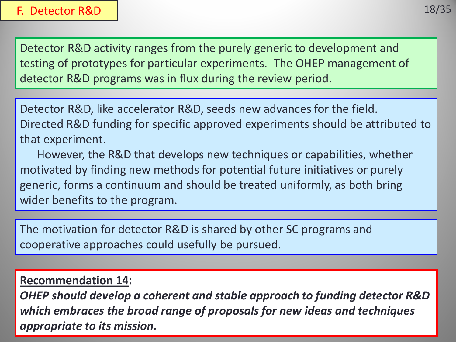18/35

Detector R&D activity ranges from the purely generic to development and testing of prototypes for particular experiments. The OHEP management of detector R&D programs was in flux during the review period.

Detector R&D, like accelerator R&D, seeds new advances for the field. Directed R&D funding for specific approved experiments should be attributed to that experiment.

 However, the R&D that develops new techniques or capabilities, whether motivated by finding new methods for potential future initiatives or purely generic, forms a continuum and should be treated uniformly, as both bring wider benefits to the program.

The motivation for detector R&D is shared by other SC programs and cooperative approaches could usefully be pursued.

## **Recommendation 14:**

*OHEP should develop a coherent and stable approach to funding detector R&D which embraces the broad range of proposals for new ideas and techniques appropriate to its mission.*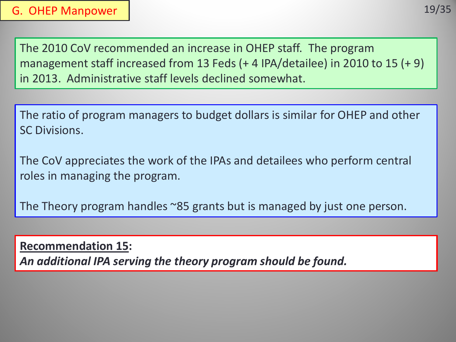The 2010 CoV recommended an increase in OHEP staff. The program management staff increased from 13 Feds (+ 4 IPA/detailee) in 2010 to 15 (+ 9) in 2013. Administrative staff levels declined somewhat.

The ratio of program managers to budget dollars is similar for OHEP and other SC Divisions.

The CoV appreciates the work of the IPAs and detailees who perform central roles in managing the program.

The Theory program handles ~85 grants but is managed by just one person.

**Recommendation 15:** *An additional IPA serving the theory program should be found.*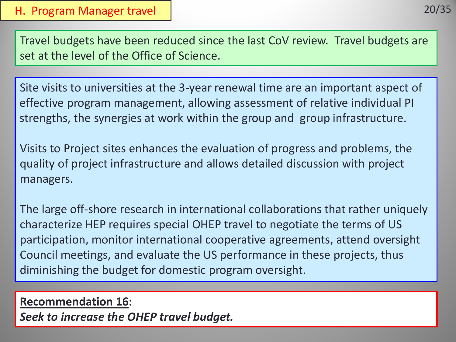Travel budgets have been reduced since the last CoV review. Travel budgets are set at the level of the Office of Science.

Site visits to universities at the 3-year renewal time are an important aspect of effective program management, allowing assessment of relative individual PI strengths, the synergies at work within the group and group infrastructure.

Visits to Project sites enhances the evaluation of progress and problems, the quality of project infrastructure and allows detailed discussion with project managers.

The large off-shore research in international collaborations that rather uniquely characterize HEP requires special OHEP travel to negotiate the terms of US participation, monitor international cooperative agreements, attend oversight Council meetings, and evaluate the US performance in these projects, thus diminishing the budget for domestic program oversight.

**Recommendation 16:** *Seek to increase the OHEP travel budget.*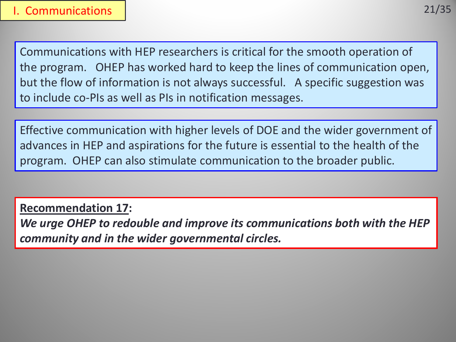Communications with HEP researchers is critical for the smooth operation of the program. OHEP has worked hard to keep the lines of communication open, but the flow of information is not always successful. A specific suggestion was to include co-PIs as well as PIs in notification messages.

Effective communication with higher levels of DOE and the wider government of advances in HEP and aspirations for the future is essential to the health of the program. OHEP can also stimulate communication to the broader public.

**Recommendation 17:**

*We urge OHEP to redouble and improve its communications both with the HEP community and in the wider governmental circles.*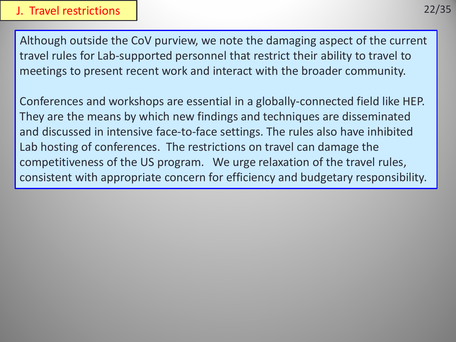### J. Travel restrictions

Although outside the CoV purview, we note the damaging aspect of the current travel rules for Lab-supported personnel that restrict their ability to travel to meetings to present recent work and interact with the broader community.

Conferences and workshops are essential in a globally-connected field like HEP. They are the means by which new findings and techniques are disseminated and discussed in intensive face-to-face settings. The rules also have inhibited Lab hosting of conferences. The restrictions on travel can damage the competitiveness of the US program. We urge relaxation of the travel rules, consistent with appropriate concern for efficiency and budgetary responsibility.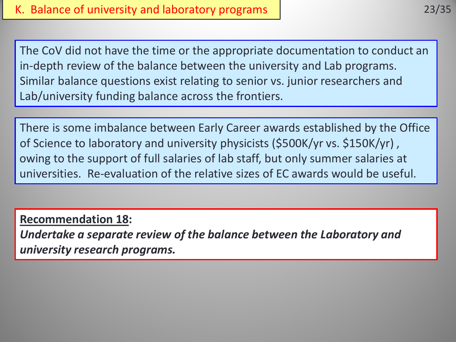The CoV did not have the time or the appropriate documentation to conduct an in-depth review of the balance between the university and Lab programs. Similar balance questions exist relating to senior vs. junior researchers and Lab/university funding balance across the frontiers.

There is some imbalance between Early Career awards established by the Office of Science to laboratory and university physicists (\$500K/yr vs. \$150K/yr) , owing to the support of full salaries of lab staff, but only summer salaries at universities. Re-evaluation of the relative sizes of EC awards would be useful.

**Recommendation 18:**

*Undertake a separate review of the balance between the Laboratory and university research programs.*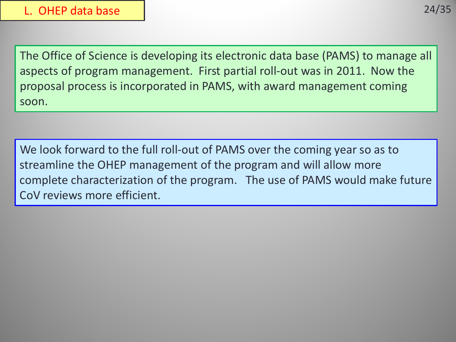The Office of Science is developing its electronic data base (PAMS) to manage all aspects of program management. First partial roll-out was in 2011. Now the proposal process is incorporated in PAMS, with award management coming soon.

We look forward to the full roll-out of PAMS over the coming year so as to streamline the OHEP management of the program and will allow more complete characterization of the program. The use of PAMS would make future CoV reviews more efficient.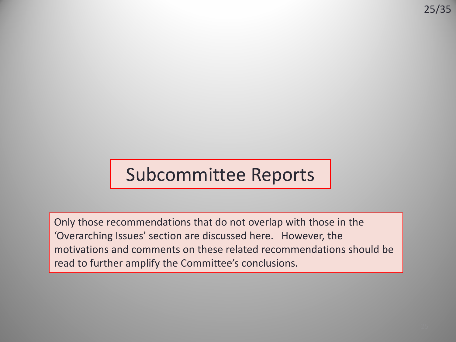# Subcommittee Reports

Only those recommendations that do not overlap with those in the 'Overarching Issues' section are discussed here. However, the motivations and comments on these related recommendations should be read to further amplify the Committee's conclusions.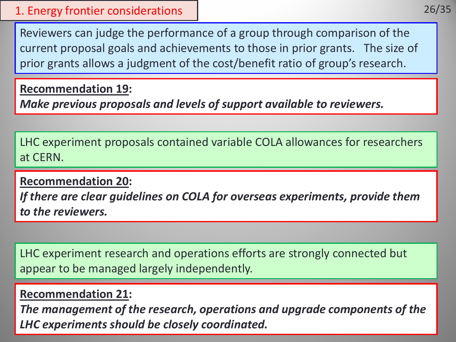### 1. Energy frontier considerations

Reviewers can judge the performance of a group through comparison of the current proposal goals and achievements to those in prior grants. The size of prior grants allows a judgment of the cost/benefit ratio of group's research.

**Recommendation 19:**

*Make previous proposals and levels of support available to reviewers.*

LHC experiment proposals contained variable COLA allowances for researchers at CERN.

**Recommendation 20:**

*If there are clear guidelines on COLA for overseas experiments, provide them to the reviewers.*

LHC experiment research and operations efforts are strongly connected but appear to be managed largely independently.

## **Recommendation 21:**

*The management of the research, operations and upgrade components of the LHC experiments should be closely coordinated.*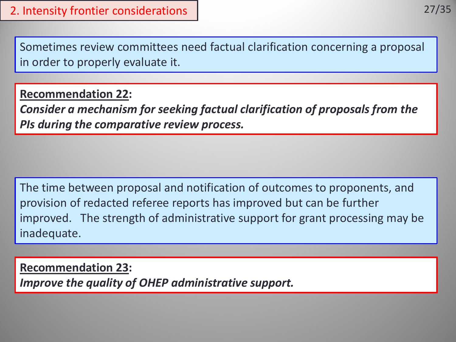Sometimes review committees need factual clarification concerning a proposal in order to properly evaluate it.

**Recommendation 22:**

*Consider a mechanism for seeking factual clarification of proposals from the PIs during the comparative review process.*

The time between proposal and notification of outcomes to proponents, and provision of redacted referee reports has improved but can be further improved. The strength of administrative support for grant processing may be inadequate.

**Recommendation 23:** *Improve the quality of OHEP administrative support.*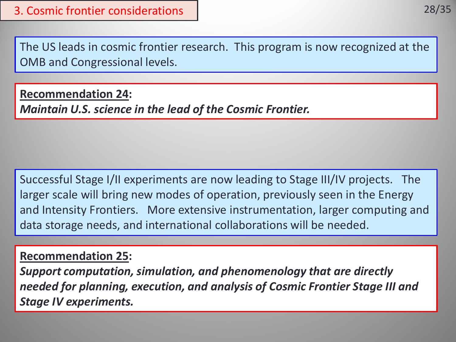The US leads in cosmic frontier research. This program is now recognized at the OMB and Congressional levels.

**Recommendation 24:** *Maintain U.S. science in the lead of the Cosmic Frontier.*

Successful Stage I/II experiments are now leading to Stage III/IV projects. The larger scale will bring new modes of operation, previously seen in the Energy and Intensity Frontiers. More extensive instrumentation, larger computing and data storage needs, and international collaborations will be needed.

## **Recommendation 25:**

*Support computation, simulation, and phenomenology that are directly needed for planning, execution, and analysis of Cosmic Frontier Stage III and Stage IV experiments.*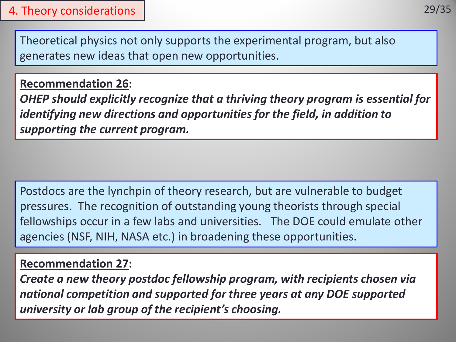## 4. Theory considerations

Theoretical physics not only supports the experimental program, but also generates new ideas that open new opportunities.

## **Recommendation 26:**

*OHEP should explicitly recognize that a thriving theory program is essential for identifying new directions and opportunities for the field, in addition to supporting the current program.*

Postdocs are the lynchpin of theory research, but are vulnerable to budget pressures. The recognition of outstanding young theorists through special fellowships occur in a few labs and universities. The DOE could emulate other agencies (NSF, NIH, NASA etc.) in broadening these opportunities.

## **Recommendation 27:**

*Create a new theory postdoc fellowship program, with recipients chosen via national competition and supported for three years at any DOE supported university or lab group of the recipient's choosing.*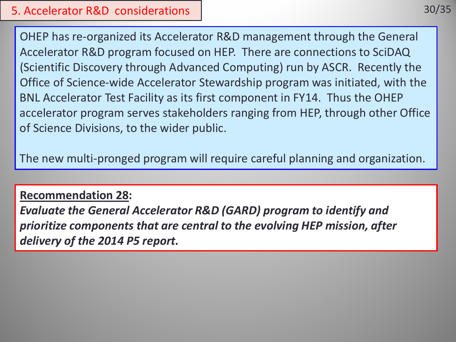OHEP has re-organized its Accelerator R&D management through the General Accelerator R&D program focused on HEP. There are connections to SciDAQ (Scientific Discovery through Advanced Computing) run by ASCR. Recently the Office of Science-wide Accelerator Stewardship program was initiated, with the BNL Accelerator Test Facility as its first component in FY14. Thus the OHEP accelerator program serves stakeholders ranging from HEP, through other Office of Science Divisions, to the wider public.

The new multi-pronged program will require careful planning and organization.

### **Recommendation 28:**

*Evaluate the General Accelerator R&D (GARD) program to identify and prioritize components that are central to the evolving HEP mission, after delivery of the 2014 P5 report.*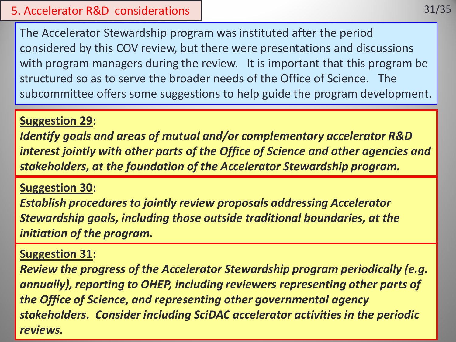### 5. Accelerator R&D considerations

The Accelerator Stewardship program was instituted after the period considered by this COV review, but there were presentations and discussions with program managers during the review. It is important that this program be structured so as to serve the broader needs of the Office of Science. The subcommittee offers some suggestions to help guide the program development.

### **Suggestion 29:**

*Identify goals and areas of mutual and/or complementary accelerator R&D interest jointly with other parts of the Office of Science and other agencies and stakeholders, at the foundation of the Accelerator Stewardship program.*

### **Suggestion 30:**

*Establish procedures to jointly review proposals addressing Accelerator Stewardship goals, including those outside traditional boundaries, at the initiation of the program.*

### **Suggestion 31:**

*Review the progress of the Accelerator Stewardship program periodically (e.g. annually), reporting to OHEP, including reviewers representing other parts of the Office of Science, and representing other governmental agency stakeholders. Consider including SciDAC accelerator activities in the periodic reviews.*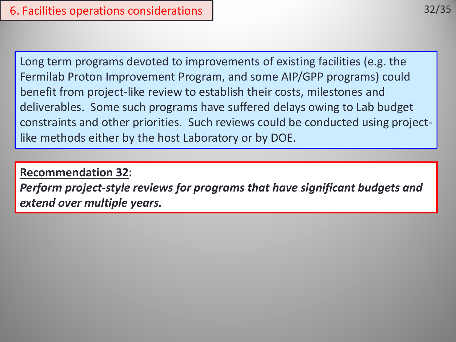Long term programs devoted to improvements of existing facilities (e.g. the Fermilab Proton Improvement Program, and some AIP/GPP programs) could benefit from project-like review to establish their costs, milestones and deliverables. Some such programs have suffered delays owing to Lab budget constraints and other priorities. Such reviews could be conducted using projectlike methods either by the host Laboratory or by DOE.

### **Recommendation 32:**

*Perform project-style reviews for programs that have significant budgets and extend over multiple years.*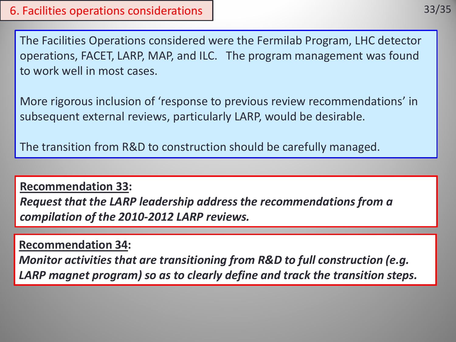The Facilities Operations considered were the Fermilab Program, LHC detector operations, FACET, LARP, MAP, and ILC. The program management was found to work well in most cases.

More rigorous inclusion of 'response to previous review recommendations' in subsequent external reviews, particularly LARP, would be desirable.

The transition from R&D to construction should be carefully managed.

**Recommendation 33:**  *Request that the LARP leadership address the recommendations from a compilation of the 2010-2012 LARP reviews.*

**Recommendation 34:** 

*Monitor activities that are transitioning from R&D to full construction (e.g. LARP magnet program) so as to clearly define and track the transition steps.*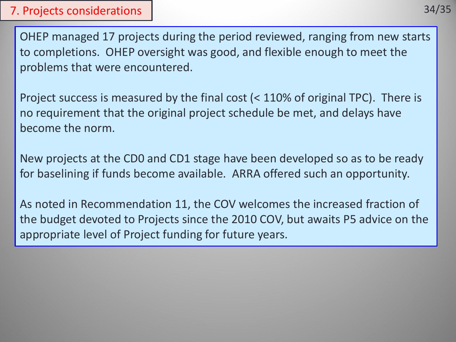### 7. Projects considerations

OHEP managed 17 projects during the period reviewed, ranging from new starts to completions. OHEP oversight was good, and flexible enough to meet the problems that were encountered.

Project success is measured by the final cost (< 110% of original TPC). There is no requirement that the original project schedule be met, and delays have become the norm.

New projects at the CD0 and CD1 stage have been developed so as to be ready for baselining if funds become available. ARRA offered such an opportunity.

As noted in Recommendation 11, the COV welcomes the increased fraction of the budget devoted to Projects since the 2010 COV, but awaits P5 advice on the appropriate level of Project funding for future years.